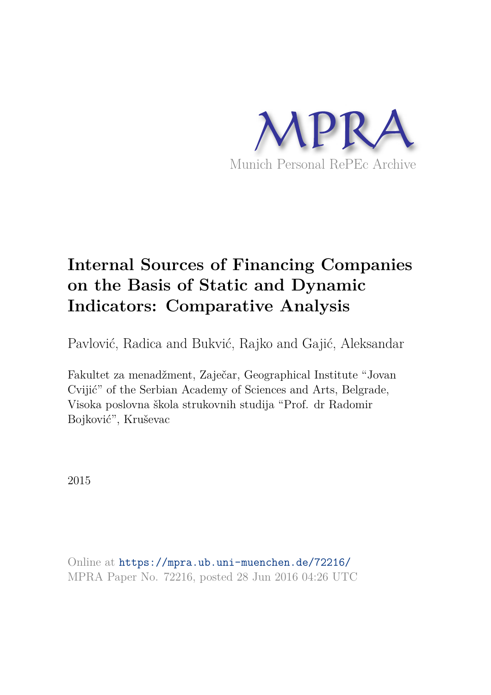

# **Internal Sources of Financing Companies on the Basis of Static and Dynamic Indicators: Comparative Analysis**

Pavlović, Radica and Bukvić, Rajko and Gajić, Aleksandar

Fakultet za menadžment, Zaječar, Geographical Institute "Jovan Cvijić" of the Serbian Academy of Sciences and Arts, Belgrade, Visoka poslovna škola strukovnih studija "Prof. dr Radomir Bojković", Kruševac

2015

Online at https://mpra.ub.uni-muenchen.de/72216/ MPRA Paper No. 72216, posted 28 Jun 2016 04:26 UTC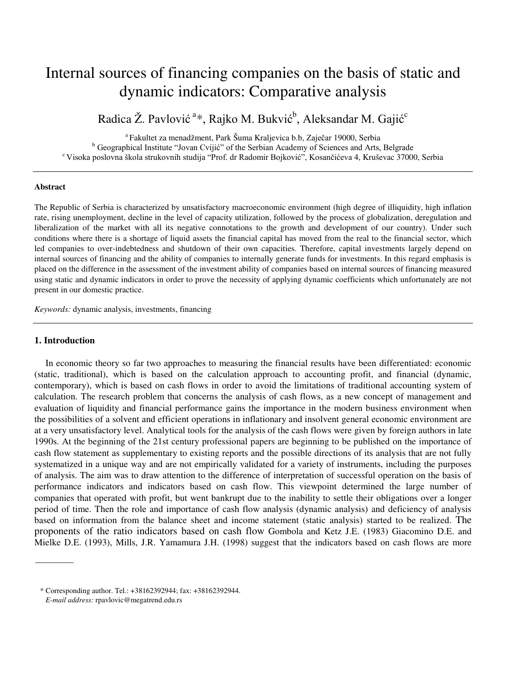# Internal sources of financing companies on the basis of static and dynamic indicators: Comparative analysis

Radica Ž. Pavlović<sup>a</sup>[\\*](#page-1-0), Rajko M. Bukvić<sup>b</sup>, Aleksandar M. Gajić<sup>c</sup>

<sup>a</sup> Fakultet za menadžment, Park Šuma Kraljevica b.b, Zaječar 19000, Serbia **b** Geographical Institute "Jovan Cvijić" of the Serbian Academy of Sciences and Arts, Belgrade <sup>c</sup>Visoka poslovna škola strukovnih studija "Prof. dr Radomir Bojković", Kosančićeva 4, Kruševac 37000, Serbia

#### **Abstract**

The Republic of Serbia is characterized by unsatisfactory macroeconomic environment (high degree of illiquidity, high inflation rate, rising unemployment, decline in the level of capacity utilization, followed by the process of globalization, deregulation and liberalization of the market with all its negative connotations to the growth and development of our country). Under such conditions where there is a shortage of liquid assets the financial capital has moved from the real to the financial sector, which led companies to over-indebtedness and shutdown of their own capacities. Therefore, capital investments largely depend on internal sources of financing and the ability of companies to internally generate funds for investments. In this regard emphasis is placed on the difference in the assessment of the investment ability of companies based on internal sources of financing measured using static and dynamic indicators in order to prove the necessity of applying dynamic coefficients which unfortunately are not present in our domestic practice.

*Keywords:* dynamic analysis, investments, financing

#### **1. Introduction**

In economic theory so far two approaches to measuring the financial results have been differentiated: economic (static, traditional), which is based on the calculation approach to accounting profit, and financial (dynamic, contemporary), which is based on cash flows in order to avoid the limitations of traditional accounting system of calculation. The research problem that concerns the analysis of cash flows, as a new concept of management and evaluation of liquidity and financial performance gains the importance in the modern business environment when the possibilities of a solvent and efficient operations in inflationary and insolvent general economic environment are at a very unsatisfactory level. Analytical tools for the analysis of the cash flows were given by foreign authors in late 1990s. At the beginning of the 21st century professional papers are beginning to be published on the importance of cash flow statement as supplementary to existing reports and the possible directions of its analysis that are not fully systematized in a unique way and are not empirically validated for a variety of instruments, including the purposes of analysis. The aim was to draw attention to the difference of interpretation of successful operation on the basis of performance indicators and indicators based on cash flow. This viewpoint determined the large number of companies that operated with profit, but went bankrupt due to the inability to settle their obligations over a longer period of time. Then the role and importance of cash flow analysis (dynamic analysis) and deficiency of analysis based on information from the balance sheet and income statement (static analysis) started to be realized. The proponents of the ratio indicators based on cash flow Gombola and Ketz J.E. (1983) Giacomino D.E. and Mielke D.E. (1993), Mills, J.R. Yamamura J.H. (1998) suggest that the indicators based on cash flows are more

<span id="page-1-0"></span><sup>\*</sup> Corresponding author. Tel.: +38162392944; fax: +38162392944. *E-mail address:* rpavlovic@megatrend.edu.rs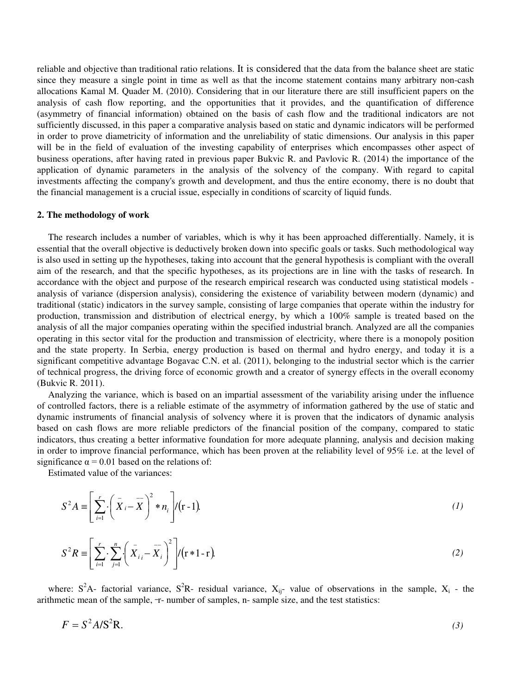reliable and objective than traditional ratio relations. It is considered that the data from the balance sheet are static since they measure a single point in time as well as that the income statement contains many arbitrary non-cash allocations Kamal M. Quader M. (2010). Considering that in our literature there are still insufficient papers on the analysis of cash flow reporting, and the opportunities that it provides, and the quantification of difference (asymmetry of financial information) obtained on the basis of cash flow and the traditional indicators are not sufficiently discussed, in this paper a comparative analysis based on static and dynamic indicators will be performed in order to prove diametricity of information and the unreliability of static dimensions. Our analysis in this paper will be in the field of evaluation of the investing capability of enterprises which encompasses other aspect of business operations, after having rated in previous paper Bukvic R. and Pavlovic R. (2014) the importance of the application of dynamic parameters in the analysis of the solvency of the company. With regard to capital investments affecting the company's growth and development, and thus the entire economy, there is no doubt that the financial management is a crucial issue, especially in conditions of scarcity of liquid funds.

#### **2. The methodology of work**

The research includes a number of variables, which is why it has been approached differentially. Namely, it is essential that the overall objective is deductively broken down into specific goals or tasks. Such methodological way is also used in setting up the hypotheses, taking into account that the general hypothesis is compliant with the overall aim of the research, and that the specific hypotheses, as its projections are in line with the tasks of research. In accordance with the object and purpose of the research empirical research was conducted using statistical models analysis of variance (dispersion analysis), considering the existence of variability between modern (dynamic) and traditional (static) indicators in the survey sample, consisting of large companies that operate within the industry for production, transmission and distribution of electrical energy, by which a 100% sample is treated based on the analysis of all the major companies operating within the specified industrial branch. Analyzed are all the companies operating in this sector vital for the production and transmission of electricity, where there is a monopoly position and the state property. In Serbia, energy production is based on thermal and hydro energy, and today it is a significant competitive advantage Bogavac C.N. et al. (2011), belonging to the industrial sector which is the carrier of technical progress, the driving force of economic growth and a creator of synergy effects in the overall economy (Bukvic R. 2011).

Analyzing the variance, which is based on an impartial assessment of the variability arising under the influence of controlled factors, there is a reliable estimate of the asymmetry of information gathered by the use of static and dynamic instruments of financial analysis of solvency where it is proven that the indicators of dynamic analysis based on cash flows are more reliable predictors of the financial position of the company, compared to static indicators, thus creating a better informative foundation for more adequate planning, analysis and decision making in order to improve financial performance, which has been proven at the reliability level of 95% i.e. at the level of significance  $\alpha = 0.01$  based on the relations of:

Estimated value of the variances:

$$
S^2 A = \left[ \sum_{i=1}^r \left( \overline{X}_i - \overline{X} \right)^2 * n_i \right] / (r-1).
$$
 (1)

$$
S^{2}R \equiv \left[\sum_{i=1}^{r} \cdot \sum_{j=1}^{n} \left(\bar{X}_{i} - \bar{X}_{i}\right)^{2}\right] / (r * 1 - r).
$$
 (2)

where:  $S^2A$ - factorial variance,  $S^2R$ - residual variance,  $X_{ij}$ - value of observations in the sample,  $X_i$ - the arithmetic mean of the sample,  $\tau$ - number of samples, n-sample size, and the test statistics:

$$
F = S^2 A / S^2 R. \tag{3}
$$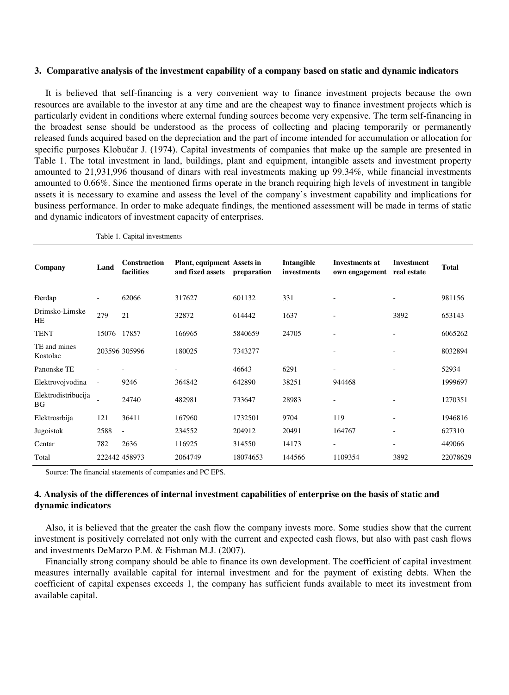### **3. Comparative analysis of the investment capability of a company based on static and dynamic indicators**

It is believed that self-financing is a very convenient way to finance investment projects because the own resources are available to the investor at any time and are the cheapest way to finance investment projects which is particularly evident in conditions where external funding sources become very expensive. The term self-financing in the broadest sense should be understood as the process of collecting and placing temporarily or permanently released funds acquired based on the depreciation and the part of income intended for accumulation or allocation for specific purposes Klobučar J. (1974). Capital investments of companies that make up the sample are presented in Table 1. The total investment in land, buildings, plant and equipment, intangible assets and investment property amounted to 21,931,996 thousand of dinars with real investments making up 99.34%, while financial investments amounted to 0.66%. Since the mentioned firms operate in the branch requiring high levels of investment in tangible assets it is necessary to examine and assess the level of the company's investment capability and implications for business performance. In order to make adequate findings, the mentioned assessment will be made in terms of static and dynamic indicators of investment capacity of enterprises.

| Company                          | Land  | Construction<br>facilities | Plant, equipment Assets in<br>and fixed assets | preparation | Intangible<br>investments | <b>Investments at</b><br>own engagement | <b>Investment</b><br>real estate | <b>Total</b> |
|----------------------------------|-------|----------------------------|------------------------------------------------|-------------|---------------------------|-----------------------------------------|----------------------------------|--------------|
| <b>Derdap</b>                    |       | 62066                      | 317627                                         | 601132      | 331                       |                                         | ٠                                | 981156       |
| Drimsko-Limske<br>HE             | 279   | 21                         | 32872                                          | 614442      | 1637                      |                                         | 3892                             | 653143       |
| <b>TENT</b>                      | 15076 | 17857                      | 166965                                         | 5840659     | 24705                     |                                         | ٠                                | 6065262      |
| TE and mines<br>Kostolac         |       | 203596 305996              | 180025                                         | 7343277     |                           |                                         | ٠                                | 8032894      |
| Panonske TE                      |       |                            | $\overline{\phantom{a}}$                       | 46643       | 6291                      | ۰                                       | ٠                                | 52934        |
| Elektrovojvodina                 | ä,    | 9246                       | 364842                                         | 642890      | 38251                     | 944468                                  |                                  | 1999697      |
| Elektrodistribucija<br><b>BG</b> |       | 24740                      | 482981                                         | 733647      | 28983                     |                                         |                                  | 1270351      |
| Elektrosrbija                    | 121   | 36411                      | 167960                                         | 1732501     | 9704                      | 119                                     | ٠                                | 1946816      |
| Jugoistok                        | 2588  | $\overline{\phantom{a}}$   | 234552                                         | 204912      | 20491                     | 164767                                  | $\overline{a}$                   | 627310       |
| Centar                           | 782   | 2636                       | 116925                                         | 314550      | 14173                     |                                         | ٠                                | 449066       |
| Total                            |       | 222442 458973              | 2064749                                        | 18074653    | 144566                    | 1109354                                 | 3892                             | 22078629     |

Table 1. Capital investments

Source: The financial statements of companies and PC EPS.

## **4. Analysis of the differences of internal investment capabilities of enterprise on the basis of static and dynamic indicators**

Also, it is believed that the greater the cash flow the company invests more. Some studies show that the current investment is positively correlated not only with the current and expected cash flows, but also with past cash flows and investments DeMarzo P.M. & Fishman M.J. (2007).

Financially strong company should be able to finance its own development. The coefficient of capital investment measures internally available capital for internal investment and for the payment of existing debts. When the coefficient of capital expenses exceeds 1, the company has sufficient funds available to meet its investment from available capital.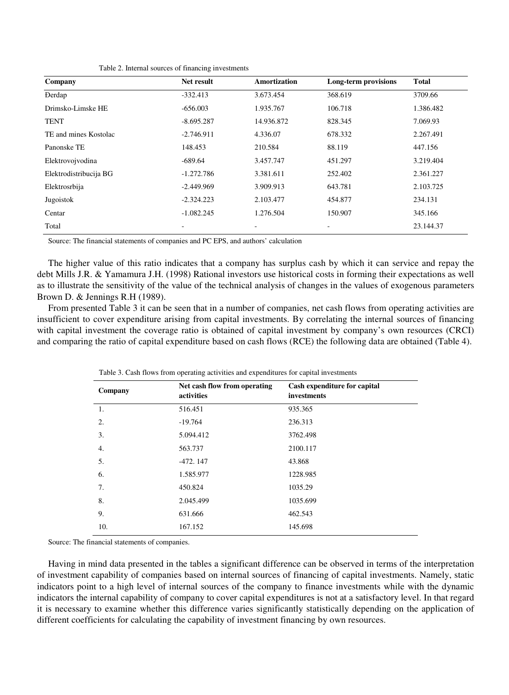| Table 2. Internal sources of financing investments |  |  |  |  |
|----------------------------------------------------|--|--|--|--|
|                                                    |  |  |  |  |

| Company                | Net result   | <b>Amortization</b> | Long-term provisions | <b>Total</b> |
|------------------------|--------------|---------------------|----------------------|--------------|
| <b>Derdap</b>          | $-332.413$   | 3.673.454           | 368.619              | 3709.66      |
| Drimsko-Limske HE      | $-656.003$   | 1.935.767           | 106.718              | 1.386.482    |
| <b>TENT</b>            | $-8.695.287$ | 14.936.872          | 828.345              | 7.069.93     |
| TE and mines Kostolac  | $-2.746.911$ | 4.336.07            | 678.332              | 2.267.491    |
| Panonske TE            | 148.453      | 210.584             | 88.119               | 447.156      |
| Elektrovojvodina       | $-689.64$    | 3.457.747           | 451.297              | 3.219.404    |
| Elektrodistribucija BG | $-1.272.786$ | 3.381.611           | 252.402              | 2.361.227    |
| Elektrosrbija          | $-2.449.969$ | 3.909.913           | 643.781              | 2.103.725    |
| Jugoistok              | $-2.324.223$ | 2.103.477           | 454.877              | 234.131      |
| Centar                 | $-1.082.245$ | 1.276.504           | 150.907              | 345.166      |
| Total                  |              | ٠                   | ۰                    | 23.144.37    |

Source: The financial statements of companies and PC EPS, and authors' calculation

The higher value of this ratio indicates that a company has surplus cash by which it can service and repay the debt Mills J.R. & Yamamura J.H. (1998) Rational investors use historical costs in forming their expectations as well as to illustrate the sensitivity of the value of the technical analysis of changes in the values of exogenous parameters Brown D. & Jennings R.H (1989).

From presented Table 3 it can be seen that in a number of companies, net cash flows from operating activities are insufficient to cover expenditure arising from capital investments. By correlating the internal sources of financing with capital investment the coverage ratio is obtained of capital investment by company's own resources (CRCI) and comparing the ratio of capital expenditure based on cash flows (RCE) the following data are obtained (Table 4).

| Company | Net cash flow from operating<br>activities | Cash expenditure for capital<br>investments |  |
|---------|--------------------------------------------|---------------------------------------------|--|
| 1.      | 516.451                                    | 935.365                                     |  |
| 2.      | $-19.764$                                  | 236.313                                     |  |
| 3.      | 5.094.412                                  | 3762.498                                    |  |
| 4.      | 563.737                                    | 2100.117                                    |  |
| 5.      | $-472.147$                                 | 43.868                                      |  |
| 6.      | 1.585.977                                  | 1228.985                                    |  |
| 7.      | 450.824                                    | 1035.29                                     |  |
| 8.      | 2.045.499                                  | 1035.699                                    |  |
| 9.      | 631.666                                    | 462.543                                     |  |
| 10.     | 167.152                                    | 145.698                                     |  |
|         |                                            |                                             |  |

Table 3. Cash flows from operating activities and expenditures for capital investments

Source: The financial statements of companies.

Having in mind data presented in the tables a significant difference can be observed in terms of the interpretation of investment capability of companies based on internal sources of financing of capital investments. Namely, static indicators point to a high level of internal sources of the company to finance investments while with the dynamic indicators the internal capability of company to cover capital expenditures is not at a satisfactory level. In that regard it is necessary to examine whether this difference varies significantly statistically depending on the application of different coefficients for calculating the capability of investment financing by own resources.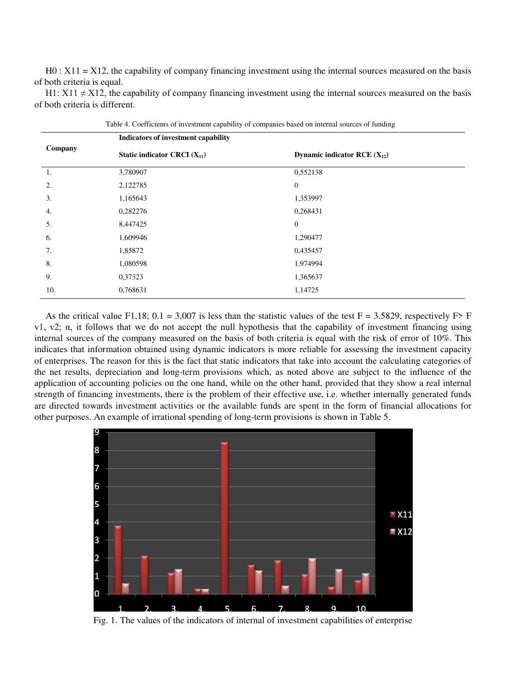$H0: X11 = X12$ , the capability of company financing investment using the internal sources measured on the basis of both criteria is equal.

H1:  $X11 \neq X12$ , the capability of company financing investment using the internal sources measured on the basis of both criteria is different.

| Company | Indicators of investment capability |                                  |  |  |  |  |
|---------|-------------------------------------|----------------------------------|--|--|--|--|
|         | Static indicator CRCI $(X_{11})$    | Dynamic indicator RCE $(X_{12})$ |  |  |  |  |
| 1.      | 3,780907                            | 0,552138                         |  |  |  |  |
| 2.      | 2,122785                            | $\mathbf{0}$                     |  |  |  |  |
| 3.      | 1,165643                            | 1,353997                         |  |  |  |  |
| 4.      | 0,282276                            | 0,268431                         |  |  |  |  |
| 5.      | 8,447425                            | $\mathbf{0}$                     |  |  |  |  |
| 6.      | 1,609946                            | 1,290477                         |  |  |  |  |
| 7.      | 1,85872                             | 0,435457                         |  |  |  |  |
| 8.      | 1,080598                            | 1,974994                         |  |  |  |  |
| 9.      | 0,37323                             | 1,365637                         |  |  |  |  |
| 10.     | 0,768631                            | 1,14725                          |  |  |  |  |

Table 4. Coefficients of investment capability of companies based on internal sources of funding

As the critical value F1,18; 0.1 = 3,007 is less than the statistic values of the test  $F = 3.5829$ , respectively F> F v1, v2; α, it follows that we do not accept the null hypothesis that the capability of investment financing using internal sources of the company measured on the basis of both criteria is equal with the risk of error of 10%. This indicates that information obtained using dynamic indicators is more reliable for assessing the investment capacity of enterprises. The reason for this is the fact that static indicators that take into account the calculating categories of the net results, depreciation and long-term provisions which, as noted above are subject to the influence of the application of accounting policies on the one hand, while on the other hand, provided that they show a real internal strength of financing investments, there is the problem of their effective use, i.e. whether internally generated funds are directed towards investment activities or the available funds are spent in the form of financial allocations for other purposes. An example of irrational spending of long-term provisions is shown in Table 5.



Fig. 1. The values of the indicators of internal of investment capabilities of enterprise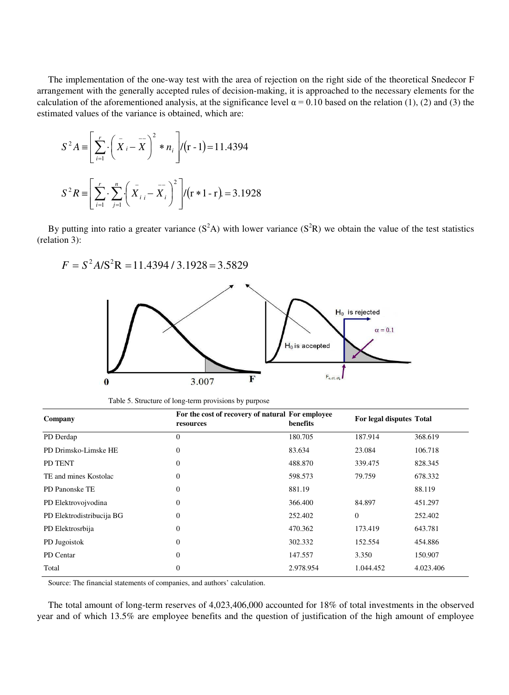The implementation of the one-way test with the area of rejection on the right side of the theoretical Snedecor F arrangement with the generally accepted rules of decision-making, it is approached to the necessary elements for the calculation of the aforementioned analysis, at the significance level  $\alpha = 0.10$  based on the relation (1), (2) and (3) the estimated values of the variance is obtained, which are:

$$
S^2 A = \left[ \sum_{i=1}^r \left( \overline{X}_i - \overline{X} \right)^2 * n_i \right] / (r - 1) = 11.4394
$$
  

$$
S^2 R = \left[ \sum_{i=1}^r \sum_{j=1}^n \left( \overline{X}_{i,j} - \overline{X}_i \right)^2 \right] / (r * 1 - r) = 3.1928
$$

By putting into ratio a greater variance ( $S^2A$ ) with lower variance ( $S^2R$ ) we obtain the value of the test statistics (relation 3):

$$
F = S^2 A/S^2 R = 11.4394 / 3.1928 = 3.5829
$$



Table 5. Structure of long-term provisions by purpose

| Company                   | For the cost of recovery of natural For employee<br>resources | benefits  | For legal disputes Total |           |
|---------------------------|---------------------------------------------------------------|-----------|--------------------------|-----------|
| PD Đerdap                 | $\Omega$                                                      | 180.705   | 187.914                  | 368.619   |
| PD Drimsko-Limske HE      | $\theta$                                                      | 83.634    | 23.084                   | 106.718   |
| PD TENT                   | $\theta$                                                      | 488.870   | 339.475                  | 828.345   |
| TE and mines Kostolac     | $\theta$                                                      | 598.573   | 79.759                   | 678.332   |
| PD Panonske TE            | $\theta$                                                      | 881.19    |                          | 88.119    |
| PD Elektrovojvodina       | $\Omega$                                                      | 366.400   | 84.897                   | 451.297   |
| PD Elektrodistribucija BG | $\Omega$                                                      | 252.402   | $\mathbf{0}$             | 252.402   |
| PD Elektrosrbija          | $\theta$                                                      | 470.362   | 173.419                  | 643.781   |
| PD Jugoistok              | $\Omega$                                                      | 302.332   | 152.554                  | 454.886   |
| PD Centar                 | $\Omega$                                                      | 147.557   | 3.350                    | 150.907   |
| Total                     | $\theta$                                                      | 2.978.954 | 1.044.452                | 4.023.406 |

Source: The financial statements of companies, and authors' calculation.

The total amount of long-term reserves of 4,023,406,000 accounted for 18% of total investments in the observed year and of which 13.5% are employee benefits and the question of justification of the high amount of employee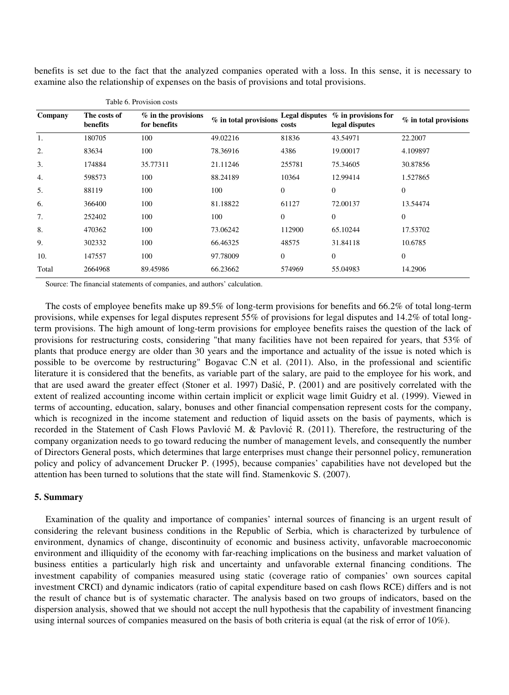benefits is set due to the fact that the analyzed companies operated with a loss. In this sense, it is necessary to examine also the relationship of expenses on the basis of provisions and total provisions.

|         |                          | Table 0. Frovision costs            |                       |                                |                                       |                       |
|---------|--------------------------|-------------------------------------|-----------------------|--------------------------------|---------------------------------------|-----------------------|
| Company | The costs of<br>benefits | % in the provisions<br>for benefits | % in total provisions | <b>Legal disputes</b><br>costs | % in provisions for<br>legal disputes | % in total provisions |
| 1.      | 180705                   | 100                                 | 49.02216              | 81836                          | 43.54971                              | 22.2007               |
| 2.      | 83634                    | 100                                 | 78.36916              | 4386                           | 19.00017                              | 4.109897              |
| 3.      | 174884                   | 35.77311                            | 21.11246              | 255781                         | 75.34605                              | 30.87856              |
| 4.      | 598573                   | 100                                 | 88.24189              | 10364                          | 12.99414                              | 1.527865              |
| 5.      | 88119                    | 100                                 | 100                   | $\mathbf{0}$                   | $\mathbf{0}$                          | $\overline{0}$        |
| 6.      | 366400                   | 100                                 | 81.18822              | 61127                          | 72.00137                              | 13.54474              |
| 7.      | 252402                   | 100                                 | 100                   | $\mathbf{0}$                   | $\Omega$                              | $\mathbf{0}$          |
| 8.      | 470362                   | 100                                 | 73.06242              | 112900                         | 65.10244                              | 17.53702              |
| 9.      | 302332                   | 100                                 | 66.46325              | 48575                          | 31.84118                              | 10.6785               |
| 10.     | 147557                   | 100                                 | 97.78009              | $\mathbf{0}$                   | $\mathbf{0}$                          | $\overline{0}$        |
| Total   | 2664968                  | 89.45986                            | 66.23662              | 574969                         | 55.04983                              | 14.2906               |

Source: The financial statements of companies, and authors' calculation.

Table 6. Provision costs

The costs of employee benefits make up 89.5% of long-term provisions for benefits and 66.2% of total long-term provisions, while expenses for legal disputes represent 55% of provisions for legal disputes and 14.2% of total longterm provisions. The high amount of long-term provisions for employee benefits raises the question of the lack of provisions for restructuring costs, considering "that many facilities have not been repaired for years, that 53% of plants that produce energy are older than 30 years and the importance and actuality of the issue is noted which is possible to be overcome by restructuring" Bogavac C.N et al. (2011). Also, in the professional and scientific literature it is considered that the benefits, as variable part of the salary, are paid to the employee for his work, and that are used award the greater effect (Stoner et al. 1997) Dašić, P. (2001) and are positively correlated with the extent of realized accounting income within certain implicit or explicit wage limit Guidry et al. (1999). Viewed in terms of accounting, education, salary, bonuses and other financial compensation represent costs for the company, which is recognized in the income statement and reduction of liquid assets on the basis of payments, which is recorded in the Statement of Cash Flows Pavlović M. & Pavlović R. (2011). Therefore, the restructuring of the company organization needs to go toward reducing the number of management levels, and consequently the number of Directors General posts, which determines that large enterprises must change their personnel policy, remuneration policy and policy of advancement Drucker P. (1995), because companies' capabilities have not developed but the attention has been turned to solutions that the state will find. Stamenkovic S. (2007).

#### **5. Summary**

Examination of the quality and importance of companies' internal sources of financing is an urgent result of considering the relevant business conditions in the Republic of Serbia, which is characterized by turbulence of environment, dynamics of change, discontinuity of economic and business activity, unfavorable macroeconomic environment and illiquidity of the economy with far-reaching implications on the business and market valuation of business entities a particularly high risk and uncertainty and unfavorable external financing conditions. The investment capability of companies measured using static (coverage ratio of companies' own sources capital investment CRCI) and dynamic indicators (ratio of capital expenditure based on cash flows RCE) differs and is not the result of chance but is of systematic character. The analysis based on two groups of indicators, based on the dispersion analysis, showed that we should not accept the null hypothesis that the capability of investment financing using internal sources of companies measured on the basis of both criteria is equal (at the risk of error of  $10\%$ ).